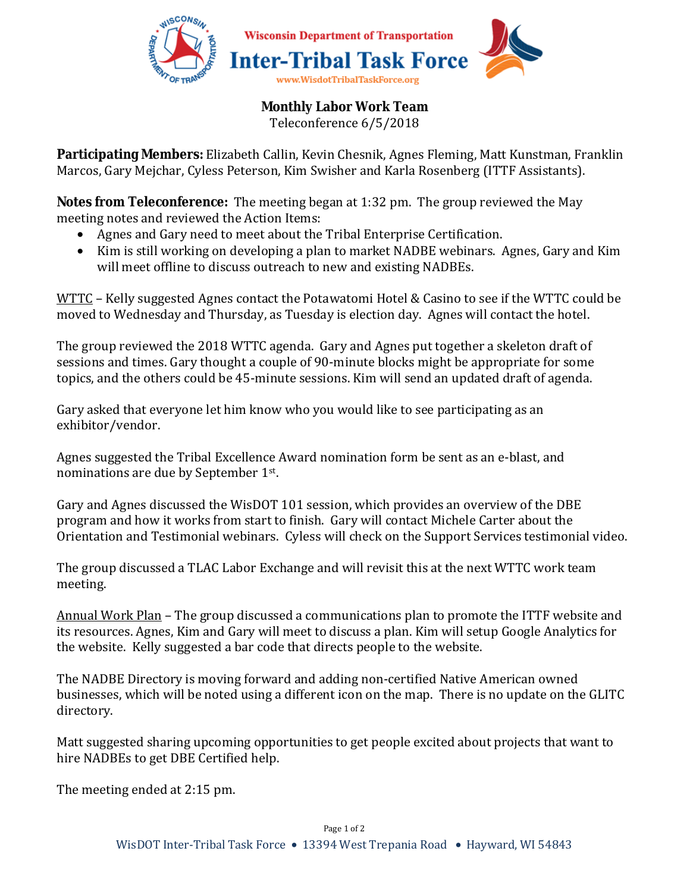

## **Monthly Labor Work Team**

Teleconference 6/5/2018

**Participating Members:** Elizabeth Callin, Kevin Chesnik, Agnes Fleming, Matt Kunstman, Franklin Marcos, Gary Mejchar, Cyless Peterson, Kim Swisher and Karla Rosenberg (ITTF Assistants).

**Notes from Teleconference:** The meeting began at 1:32 pm. The group reviewed the May meeting notes and reviewed the Action Items:

- Agnes and Gary need to meet about the Tribal Enterprise Certification.
- Kim is still working on developing a plan to market NADBE webinars. Agnes, Gary and Kim will meet offline to discuss outreach to new and existing NADBEs.

WTTC – Kelly suggested Agnes contact the Potawatomi Hotel & Casino to see if the WTTC could be moved to Wednesday and Thursday, as Tuesday is election day. Agnes will contact the hotel.

The group reviewed the 2018 WTTC agenda. Gary and Agnes put together a skeleton draft of sessions and times. Gary thought a couple of 90-minute blocks might be appropriate for some topics, and the others could be 45-minute sessions. Kim will send an updated draft of agenda.

Gary asked that everyone let him know who you would like to see participating as an exhibitor/vendor.

Agnes suggested the Tribal Excellence Award nomination form be sent as an e-blast, and nominations are due by September 1st.

Gary and Agnes discussed the WisDOT 101 session, which provides an overview of the DBE program and how it works from start to finish. Gary will contact Michele Carter about the Orientation and Testimonial webinars. Cyless will check on the Support Services testimonial video.

The group discussed a TLAC Labor Exchange and will revisit this at the next WTTC work team meeting.

Annual Work Plan – The group discussed a communications plan to promote the ITTF website and its resources. Agnes, Kim and Gary will meet to discuss a plan. Kim will setup Google Analytics for the website. Kelly suggested a bar code that directs people to the website.

The NADBE Directory is moving forward and adding non-certified Native American owned businesses, which will be noted using a different icon on the map. There is no update on the GLITC directory.

Matt suggested sharing upcoming opportunities to get people excited about projects that want to hire NADBEs to get DBE Certified help.

The meeting ended at 2:15 pm.